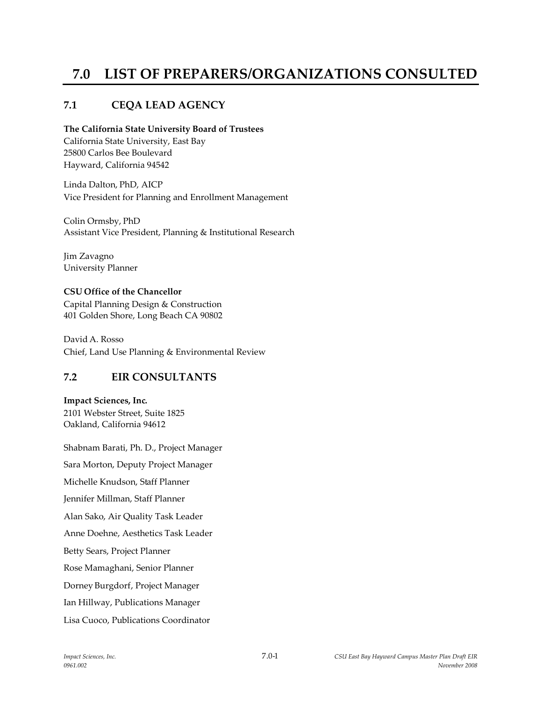# **7.0 LIST OF PREPARERS/ORGANIZATIONS CONSULTED**

# **7.1 CEQA LEAD AGENCY**

#### **The California State University Board of Trustees**

California State University, East Bay 25800 Carlos Bee Boulevard Hayward, California 94542

Linda Dalton, PhD, AICP Vice President for Planning and Enrollment Management

Colin Ormsby, PhD Assistant Vice President, Planning & Institutional Research

Jim Zavagno University Planner

## **CSU Office of the Chancellor**

Capital Planning Design & Construction 401 Golden Shore, Long Beach CA 90802

David A. Rosso Chief, Land Use Planning & Environmental Review

# **7.2 EIR CONSULTANTS**

#### **Impact Sciences, Inc.**

2101 Webster Street, Suite 1825 Oakland, California 94612

Shabnam Barati, Ph. D., Project Manager Sara Morton, Deputy Project Manager Michelle Knudson, Staff Planner Jennifer Millman, Staff Planner Alan Sako, Air Quality Task Leader Anne Doehne, Aesthetics Task Leader Betty Sears, Project Planner Rose Mamaghani, Senior Planner Dorney Burgdorf, Project Manager Ian Hillway, Publications Manager Lisa Cuoco, Publications Coordinator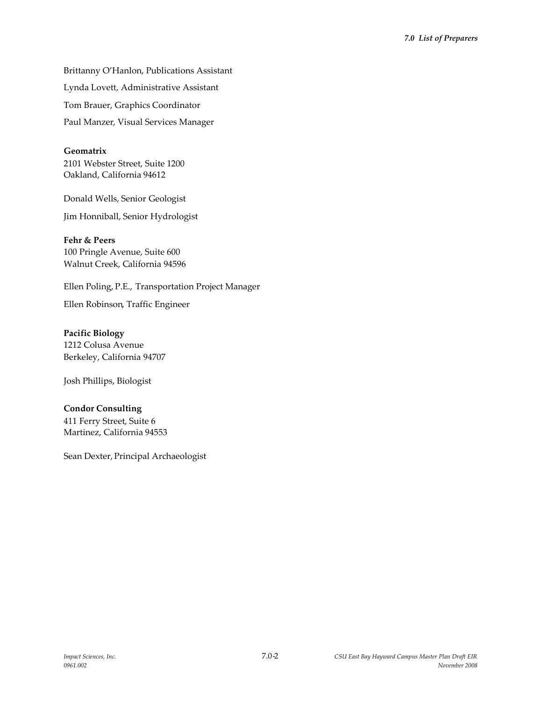Brittanny O'Hanlon, Publications Assistant Lynda Lovett, Administrative Assistant Tom Brauer, Graphics Coordinator Paul Manzer, Visual Services Manager

## **Geomatrix**

2101 Webster Street, Suite 1200 Oakland, California 94612

Donald Wells, Senior Geologist

Jim Honniball, Senior Hydrologist

#### **Fehr & Peers**

100 Pringle Avenue, Suite 600 Walnut Creek, California 94596

Ellen Poling, P.E., Transportation Project Manager

Ellen Robinson, Traffic Engineer

**Pacific Biology** 1212 Colusa Avenue Berkeley, California 94707

Josh Phillips, Biologist

## **Condor Consulting**

411 Ferry Street, Suite 6 Martinez, California 94553

Sean Dexter, Principal Archaeologist